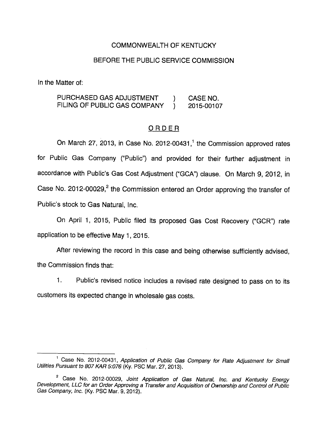### COMMONWEALTH OF KENTUCKY

#### BEFORE THE PUBLIC SERVICE COMMISSION

In the Matter of:

PURCHASED GAS ADJUSTMENT ) CASE NO. FILING OF PUBLIC GAS COMPANY ) 2015-00107

### ORDER

On March 27, 2013, in Case No. 2012-00431, $<sup>1</sup>$  the Commission approved rates</sup> for Public Gas Company ("Public") and provided for their further adjustment in accordance with Public's Gas Cost Adjustment ("GCA") clause. On March 9, 2012, in Case No. 2012-00029, $^2$  the Commission entered an Order approving the transfer of Public's stock to Gas Natural, Inc.

On April 1, 2015, Public filed its proposed Gas Cost Recovery ("GCR") rate application to be effective May 1, 2015.

After reviewing the record in this case and being othenwise sufficiently advised, the Commission finds that:

1. Public's revised notice includes a revised rate designed to pass on to its customers its expected change in wholesale gas costs.

<sup>&</sup>lt;sup>1</sup> Case No. 2012-00431, Application of Public Gas Company for Rate Adjustment for Small Utilities Pursuant to 807 KAR 5:076 (Ky. PSC Mar. 27, 2013).

<sup>&</sup>lt;sup>2</sup> Case No. 2012-00029, Joint Application of Gas Natural, Inc. and Kentucky Energy Development, LLC for an Order Approving a Transfer and Acquisition of Ownership and Control of Public Gas Company, inc. (Ky. PSC Mar. 9, 2012).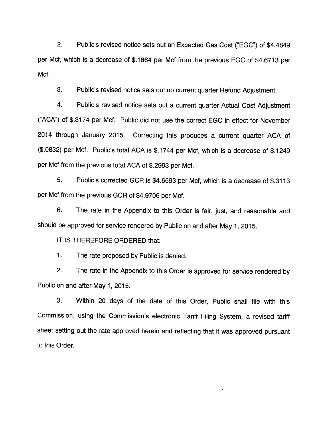2. Public's revised notice sets out an Expected Gas Cost ("EGG") of \$4.4849 per Met, which is a decrease of \$.1864 per Mcf from the previous EGG of \$4.6713 per Mcf.

3. Public's revised notice sets out no current quarter Refund Adjustment.

4. Public's revised notice sets out a current quarter Actual Cost Adjustment ("AGA") of \$.3174 per Mcf. Public did not use the correct EGG in effect for November 2014 through January 2015. Correcting this produces a current quarter AGA of (\$.0832) per Mcf. Public's total AGA is \$.1744 per Mcf, which is a decrease of \$.1249 per Mcf from the previous total AGA of \$.2993 per Mcf.

5. Public's corrected GGR is \$4.6593 per Mcf, which is a decrease of \$.3113 per Mcf from the previous GGR of \$4.9706 per Mcf.

6. The rate in the Appendix to this Order is fair, just, and reasonable and should be approved for service rendered by Public on and after May 1, 2015.

IT IS THEREFORE ORDERED that:

1. The rate proposed by Public is denied.

2. The rate in the Appendix to this Order is approved for service rendered by Public on and after May 1, 2015.

3. Within 20 days of the date of this Order, Public shall file with this Commission, using the Commission's electronic Tariff Filing System, a revised tariff sheet setting out the rate approved herein and reflecting that it was approved pursuant to this Order.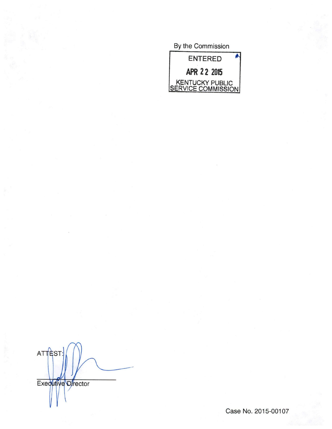By the Commission



**ATTEST** Executive Director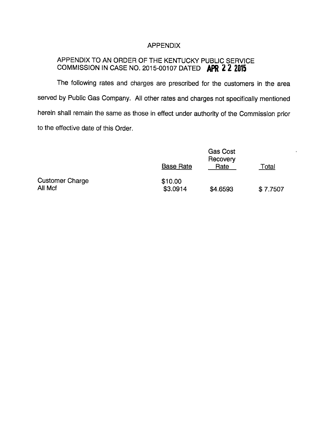# APPENDIX

## APPENDIX TO AN ORDER OF THE KENTUCKY PUBLIC SERVICE COMMISSION IN CASE NO. 2015-00107 DATED APR 2 2 2015

The following rates and charges are prescribed for the customers in the area served by Public Gas Company. All other rates and charges not specifically mentioned herein shall remain the same as those in effect under authority of the Commission prior to the effective date of this Order.

|                                   | <b>Base Rate</b>    | <b>Gas Cost</b><br>Recovery<br>Rate | Total    |
|-----------------------------------|---------------------|-------------------------------------|----------|
| <b>Customer Charge</b><br>All Mcf | \$10.00<br>\$3.0914 | \$4.6593                            | \$7.7507 |